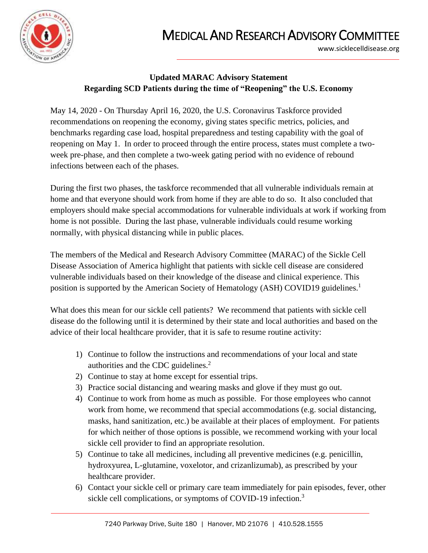

## MEDICAL AND RESEARCH ADVISORY COMMITTEE

www.sicklecelldisease.org

## **Updated MARAC Advisory Statement Regarding SCD Patients during the time of "Reopening" the U.S. Economy**

May 14, 2020 - On Thursday April 16, 2020, the U.S. Coronavirus Taskforce provided recommendations on reopening the economy, giving states specific metrics, policies, and benchmarks regarding case load, hospital preparedness and testing capability with the goal of reopening on May 1. In order to proceed through the entire process, states must complete a twoweek pre-phase, and then complete a two-week gating period with no evidence of rebound infections between each of the phases.

During the first two phases, the taskforce recommended that all vulnerable individuals remain at home and that everyone should work from home if they are able to do so. It also concluded that employers should make special accommodations for vulnerable individuals at work if working from home is not possible. During the last phase, vulnerable individuals could resume working normally, with physical distancing while in public places.

The members of the Medical and Research Advisory Committee (MARAC) of the Sickle Cell Disease Association of America highlight that patients with sickle cell disease are considered vulnerable individuals based on their knowledge of the disease and clinical experience. This position is supported by the American Society of Hematology (ASH) COVID19 guidelines.<sup>1</sup>

What does this mean for our sickle cell patients? We recommend that patients with sickle cell disease do the following until it is determined by their state and local authorities and based on the advice of their local healthcare provider, that it is safe to resume routine activity:

- 1) Continue to follow the instructions and recommendations of your local and state authorities and the CDC guidelines.<sup>2</sup>
- 2) Continue to stay at home except for essential trips.
- 3) Practice social distancing and wearing masks and glove if they must go out.
- 4) Continue to work from home as much as possible. For those employees who cannot work from home, we recommend that special accommodations (e.g. social distancing, masks, hand sanitization, etc.) be available at their places of employment. For patients for which neither of those options is possible, we recommend working with your local sickle cell provider to find an appropriate resolution.
- 5) Continue to take all medicines, including all preventive medicines (e.g. penicillin, hydroxyurea, L-glutamine, voxelotor, and crizanlizumab), as prescribed by your healthcare provider.
- 6) Contact your sickle cell or primary care team immediately for pain episodes, fever, other sickle cell complications, or symptoms of COVID-19 infection.<sup>3</sup>